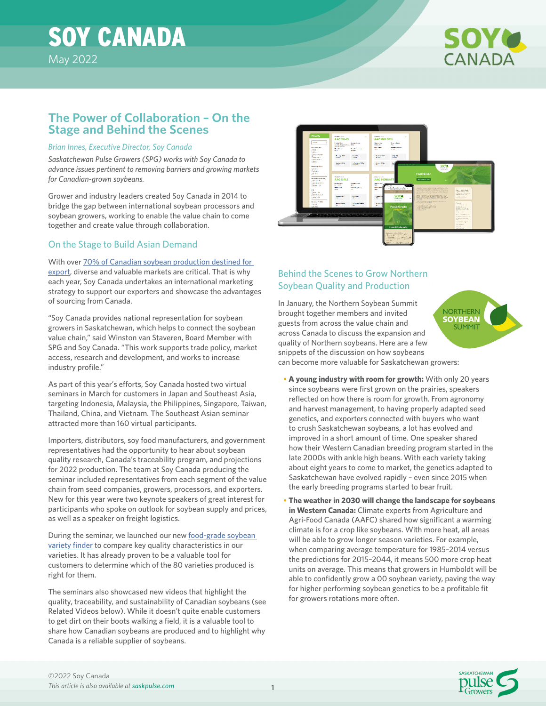# SOY CANADA



## **The Power of Collaboration – On the Stage and Behind the Scenes**

#### *Brian Innes, Executive Director, Soy Canada*

*Saskatchewan Pulse Growers (SPG) works with Soy Canada to advance issues pertinent to removing barriers and growing markets for Canadian-grown soybeans.* 

Grower and industry leaders created Soy Canada in 2014 to bridge the gap between international soybean processors and soybean growers, working to enable the value chain to come together and create value through collaboration.

## On the Stage to Build Asian Demand

#### With over [70% of Canadian soybean production destined for](https://soycanada.ca/statistics/soybean-exports-tonnes/)

[export,](https://soycanada.ca/statistics/soybean-exports-tonnes/) diverse and valuable markets are critical. That is why each year, Soy Canada undertakes an international marketing strategy to support our exporters and showcase the advantages of sourcing from Canada.

"Soy Canada provides national representation for soybean growers in Saskatchewan, which helps to connect the soybean value chain," said Winston van Staveren, Board Member with SPG and Soy Canada. "This work supports trade policy, market access, research and development, and works to increase industry profile."

As part of this year's efforts, Soy Canada hosted two virtual seminars in March for customers in Japan and Southeast Asia, targeting Indonesia, Malaysia, the Philippines, Singapore, Taiwan, Thailand, China, and Vietnam. The Southeast Asian seminar attracted more than 160 virtual participants.

Importers, distributors, soy food manufacturers, and government representatives had the opportunity to hear about soybean quality research, Canada's traceability program, and projections for 2022 production. The team at Soy Canada producing the seminar included representatives from each segment of the value chain from seed companies, growers, processors, and exporters. New for this year were two keynote speakers of great interest for participants who spoke on outlook for soybean supply and prices, as well as a speaker on freight logistics.

During the seminar, we launched our new [food-grade soybean](https://buycanadiansoybeans.ca/food-grade-soybeans/database/)  [variety finder](https://buycanadiansoybeans.ca/food-grade-soybeans/database/) to compare key quality characteristics in our varieties. It has already proven to be a valuable tool for customers to determine which of the 80 varieties produced is right for them.

The seminars also showcased new videos that highlight the quality, traceability, and sustainability of Canadian soybeans (see Related Videos below). While it doesn't quite enable customers to get dirt on their boots walking a field, it is a valuable tool to share how Canadian soybeans are produced and to highlight why Canada is a reliable supplier of soybeans.



## Behind the Scenes to Grow Northern Soybean Quality and Production

In January, the Northern Soybean Summit brought together members and invited guests from across the value chain and across Canada to discuss the expansion and quality of Northern soybeans. Here are a few snippets of the discussion on how soybeans can become more valuable for Saskatchewan growers:



- **A young industry with room for growth:** With only 20 years since soybeans were first grown on the prairies, speakers reflected on how there is room for growth. From agronomy and harvest management, to having properly adapted seed genetics, and exporters connected with buyers who want to crush Saskatchewan soybeans, a lot has evolved and improved in a short amount of time. One speaker shared how their Western Canadian breeding program started in the late 2000s with ankle high beans. With each variety taking about eight years to come to market, the genetics adapted to Saskatchewan have evolved rapidly – even since 2015 when the early breeding programs started to bear fruit.
- **The weather in 2030 will change the landscape for soybeans in Western Canada:** Climate experts from Agriculture and Agri-Food Canada (AAFC) shared how significant a warming climate is for a crop like soybeans. With more heat, all areas will be able to grow longer season varieties. For example, when comparing average temperature for 1985–2014 versus the predictions for 2015–2044, it means 500 more crop heat units on average. This means that growers in Humboldt will be able to confidently grow a 00 soybean variety, paving the way for higher performing soybean genetics to be a profitable fit for growers rotations more often.